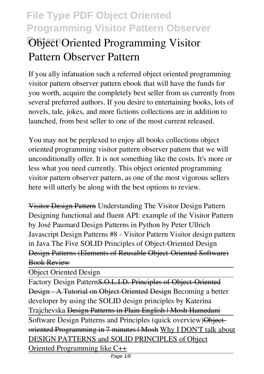# *Object Oriented Programming Visitor* **Pattern Observer Pattern**

If you ally infatuation such a referred **object oriented programming visitor pattern observer pattern** ebook that will have the funds for you worth, acquire the completely best seller from us currently from several preferred authors. If you desire to entertaining books, lots of novels, tale, jokes, and more fictions collections are in addition to launched, from best seller to one of the most current released.

You may not be perplexed to enjoy all books collections object oriented programming visitor pattern observer pattern that we will unconditionally offer. It is not something like the costs. It's more or less what you need currently. This object oriented programming visitor pattern observer pattern, as one of the most vigorous sellers here will utterly be along with the best options to review.

Visitor Design Pattern *Understanding The Visitor Design Pattern Designing functional and fluent API: example of the Visitor Pattern by José Paumard Design Patterns in Python by Peter Ullrich Javascript Design Patterns #8 - Visitor Pattern* Visitor design pattern in Java The Five SOLID Principles of Object-Oriented Design Design Patterns (Elements of Reusable Object-Oriented Software) Book Review

Object Oriented Design

Factory Design PatternS.O.L.I.D. Principles of Object-Oriented Design - A Tutorial on Object-Oriented Design **Becoming a better developer by using the SOLID design principles by Katerina Trajchevska** Design Patterns in Plain English | Mosh Hamedani Software Design Patterns and Principles (quick overview) Objectoriented Programming in 7 minutes | Mosh Why I DON'T talk about DESIGN PATTERNS and SOLID PRINCIPLES of Object Oriented Programming like C++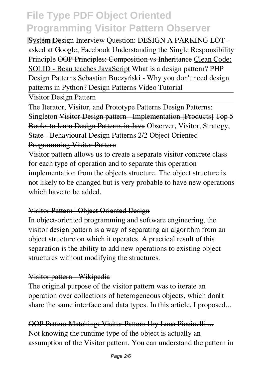**System Design Interview Question: DESIGN A PARKING LOT** asked at Google, Facebook Understanding the Single Responsibility Principle OOP Principles: Composition vs Inheritance Clean Code: SOLID - Beau teaches JavaScript *What is a design pattern? PHP Design Patterns Sebastian Buczyński - Why you don't need design patterns in Python?* Design Patterns Video Tutorial

Visitor Design Pattern

The Iterator, Visitor, and Prototype Patterns Design Patterns: Singleton Visitor Design pattern - Implementation [Products] Top 5 Books to learn Design Patterns in Java **Observer, Visitor, Strategy, State - Behavioural Design Patterns 2/2 Object Oriented** Programming Visitor Pattern

Visitor pattern allows us to create a separate visitor concrete class for each type of operation and to separate this operation implementation from the objects structure. The object structure is not likely to be changed but is very probable to have new operations which have to be added.

### Visitor Pattern | Object Oriented Design

In object-oriented programming and software engineering, the visitor design pattern is a way of separating an algorithm from an object structure on which it operates. A practical result of this separation is the ability to add new operations to existing object structures without modifying the structures.

### Visitor pattern - Wikipedia

The original purpose of the visitor pattern was to iterate an operation over collections of heterogeneous objects, which don't share the same interface and data types. In this article, I proposed...

OOP Pattern Matching: Visitor Pattern | by Luca Piccinelli ... Not knowing the runtime type of the object is actually an assumption of the Visitor pattern. You can understand the pattern in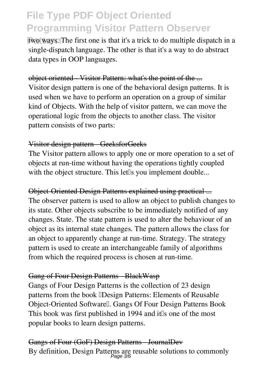two ways. The first one is that it's a trick to do multiple dispatch in a single-dispatch language. The other is that it's a way to do abstract data types in OOP languages.

#### object oriented Visitor Pattern: what's the point of the ...

Visitor design pattern is one of the behavioral design patterns. It is used when we have to perform an operation on a group of similar kind of Objects. With the help of visitor pattern, we can move the operational logic from the objects to another class. The visitor pattern consists of two parts:

#### Visitor design pattern - GeeksforGeeks

The Visitor pattern allows to apply one or more operation to a set of objects at run-time without having the operations tightly coupled with the object structure. This let<sup>[]</sup>s you implement double...

#### Object-Oriented Design Patterns explained using practical ...

The observer pattern is used to allow an object to publish changes to its state. Other objects subscribe to be immediately notified of any changes. State. The state pattern is used to alter the behaviour of an object as its internal state changes. The pattern allows the class for an object to apparently change at run-time. Strategy. The strategy pattern is used to create an interchangeable family of algorithms from which the required process is chosen at run-time.

### Gang of Four Design Patterns BlackWasp

Gangs of Four Design Patterns is the collection of 23 design patterns from the book **Design Patterns: Elements of Reusable** Object-Oriented Softwarell. Gangs Of Four Design Patterns Book This book was first published in 1994 and it is one of the most popular books to learn design patterns.

Gangs of Four (GoF) Design Patterns - JournalDev By definition, Design Patterns are reusable solutions to commonly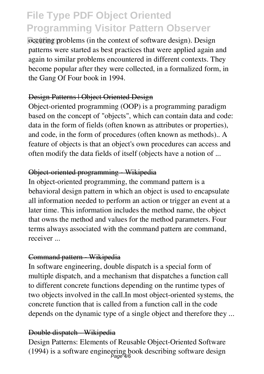**Patternal occurring problems** (in the context of software design). Design patterns were started as best practices that were applied again and again to similar problems encountered in different contexts. They become popular after they were collected, in a formalized form, in the Gang Of Four book in 1994.

#### Design Patterns | Object Oriented Design

Object-oriented programming (OOP) is a programming paradigm based on the concept of "objects", which can contain data and code: data in the form of fields (often known as attributes or properties), and code, in the form of procedures (often known as methods).. A feature of objects is that an object's own procedures can access and often modify the data fields of itself (objects have a notion of ...

### Object-oriented programming - Wikipedia

In object-oriented programming, the command pattern is a behavioral design pattern in which an object is used to encapsulate all information needed to perform an action or trigger an event at a later time. This information includes the method name, the object that owns the method and values for the method parameters. Four terms always associated with the command pattern are command, receiver ...

### Command pattern Wikipedia

In software engineering, double dispatch is a special form of multiple dispatch, and a mechanism that dispatches a function call to different concrete functions depending on the runtime types of two objects involved in the call.In most object-oriented systems, the concrete function that is called from a function call in the code depends on the dynamic type of a single object and therefore they ...

### Double dispatch - Wikipedia

Design Patterns: Elements of Reusable Object-Oriented Software (1994) is a software engineering book describing software design<br> $P_{\text{age}}4/6$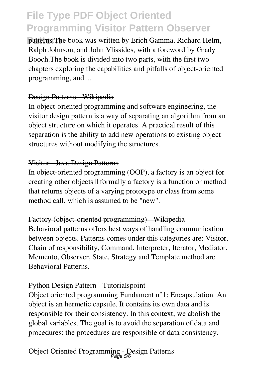patterns. The book was written by Erich Gamma, Richard Helm, Ralph Johnson, and John Vlissides, with a foreword by Grady Booch.The book is divided into two parts, with the first two chapters exploring the capabilities and pitfalls of object-oriented programming, and ...

#### Design Patterns - Wikipedia

In object-oriented programming and software engineering, the visitor design pattern is a way of separating an algorithm from an object structure on which it operates. A practical result of this separation is the ability to add new operations to existing object structures without modifying the structures.

#### Visitor - Java Design Patterns

In object-oriented programming (OOP), a factory is an object for creating other objects  $\mathbb I$  formally a factory is a function or method that returns objects of a varying prototype or class from some method call, which is assumed to be "new".

#### Factory (object-oriented programming) - Wikipedia

Behavioral patterns offers best ways of handling communication between objects. Patterns comes under this categories are: Visitor, Chain of responsibility, Command, Interpreter, Iterator, Mediator, Memento, Observer, State, Strategy and Template method are Behavioral Patterns.

#### Python Design Pattern Tutorialspoint

Object oriented programming Fundament n°1: Encapsulation. An object is an hermetic capsule. It contains its own data and is responsible for their consistency. In this context, we abolish the global variables. The goal is to avoid the separation of data and procedures: the procedures are responsible of data consistency.